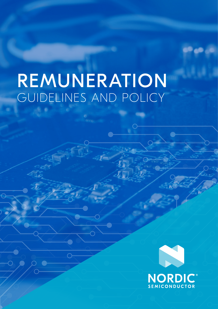# REMUNERATION GUIDELINES AND POLICY

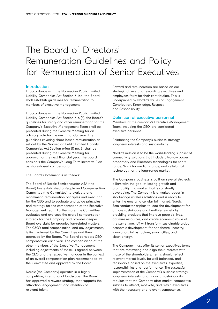# The Board of Directors' Remuneration Guidelines and Policy for Remuneration of Senior Executives

#### **Introduction**

In accordance with the Norwegian Public Limited Liability Companies Act Section 6-16a, the Board shall establish guidelines for remuneration to members of executive management.

In accordance with the Norwegian Public Limited Liability Companies Act Section 5-6 (3), the Board's guidelines for salary and other remuneration for the Company's Executive Management Team shall be presented during the General Meeting for an advisory vote for the next financial year. The guidelines covering share-based remuneration as set out by the Norwegian Public Limited Liability Companies Act Section 6-16a (1) no. 3, shall be presented during the General Meeting for approval for the next financial year. The Board considers the Company's Long-Term Incentive Plan as share-based compensation.

The Board's statement is as follows:

The Board of Nordic Semiconductor ASA (the Board) has established a People and Compensation Committee (the Committee) to evaluate and recommend remuneration principles and execution for the CEO and to evaluate and guide principles and strategy for the compensation of the Executive Management Team. Furthermore, the Committee evaluates and oversees the overall compensation strategy for the Company and provides deeper Board oversight for organization-related matters. The CEO's total compensation, and any adjustments, is first reviewed by the Committee and then approved by the Board. The Board considers CEO compensation each year. The compensation of the other members of the Executive Management, including adjustments of these, is agreed between the CEO and the respective manager in the context of an overall compensation plan recommended by the Committee and approved by the Board.

Nordic (the Company) operates in a highly competitive, international landscape. The Board has approved a reward strategy that supports the attraction, engagement, and retention of relevant talent.

Reward and remuneration are based on our strategic drivers and rewarding executives and employees fairly for their contribution. This is underpinned by Nordic's values of Engagement, Contribution, Knowledge, Respect and Responsibility.

#### Definition of executive personnel

Members of the company's Executive Management Team, including the CEO, are considered executive personnel.

Reinforcing the Company's business strategy, long-term interests and sustainability

Nordic's mission is to be the world-leading supplier of connectivity solutions that include ultra-low power proprietary and Bluetooth technologies for shortrange, Wi-Fi for medium-range, and cellular IoT technology for the long-range market.

The Company's business is built on several strategic pillars with the goal of lasting growth and profitability in a market that is constantly developing. The Company is a market leader in short-range wireless solutions and is ready to enter the emerging cellular IoT market. Nordic Semiconductor aspires to lead the development for a more sustainable and healthier society by providing products that improve people's lives, optimize resources, and create economic value at the same time. IoT will transform sustainable global economic development for healthcare, industry, innovation, infrastructure, smart cities, and clean energy.

The Company must offer its senior executives terms that are motivating and align their interests with those of the shareholders. Terms should reflect relevant market levels, be well-balanced, and reasonable based on the executives' expertise, responsibilities and performance. The successful implementation of the Company's business strategy, long-term interests, and financial sustainability, requires that the Company offer market competitive salaries to attract, motivate, and retain executives with the necessary and relevant competence.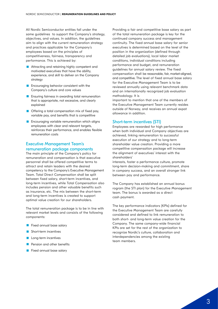All Nordic Semiconductor entities fall under the same guidelines to support the Company's strategy, objectives, and values. In addition, the guidelines aim to align with the current remuneration strategy and practices applicable for the Company's employees based on the principles of competitiveness, fairness, transparency and performance. This is achieved by:

- **Attracting and retaining highly competent and** motivated executives that have the ability, experience, and skill to deliver on the Company strategy
- **Encouraging behavior consistent with the** Company's culture and core values
- **Ensuring fairness in awarding total remuneration** that is appropriate, not excessive, and clearly explained
- **Offering a total compensation mix of fixed pay,** variable pay, and benefits that is competitive
- **Encouraging variable remuneration which aligns** employees with clear and relevant targets, reinforces their performance, and enables flexible remuneration costs

# Executive Management Team's remuneration package components

The main principle of the Company's policy for remuneration and compensation is that executive personnel shall be offered competitive terms to attract and retain leaders with the desired competency to the Company's Executive Management Team. Total Direct Compensation shall be split between fixed salary, short-term incentives, and long-term incentives, while Total Compensation also includes pension and other valuable benefits such as insurance, etc. The mix between the short-term and long-term incentives is created to support optimal value creation for our shareholders.

The total remuneration package is to be in line with relevant market levels and consists of the following components:

- **Fixed annual base salary**
- **Short-term incentives**
- **Long-term incentives**
- **Pension and other benefits**
- **Fixed annual base salary**

Providing a fair and competitive base salary as part of the total remuneration package is key for the continued company success and management continuity. The fixed annual base salary for senior executives is determined based on the level of the position in the organization (defined through detailed job evaluations), local labor market conditions, individual conditions including performance and budget, and remuneration guidelines for annual salary review. The fixed compensation shall be reasonable, fair, market-aligned, and competitive. The level of fixed annual base salary for the Executive Management Team is to be reviewed annually using relevant benchmark data and an internationally recognized job evaluation methodology. It is

important to mention that one of the members of the Executive Management Team currently resides outside of Norway, and receives an annual expat allowance in addition.

# Short-term incentives (STI)

Employees are rewarded for high performance when both individual and Company objectives are achieved, linking remuneration to successful execution of our strategy and to long-term shareholder value creation. Providing a more competitive compensation package will increase the alignment of executives' interest with the shareholders'

interests, foster a performance culture, promote long-term decision-making and commitment, share in company success, and an overall stronger link between pay and performance.

The Company has established an annual bonus rogram (the STI plan) for the Executive Management team. The bonus is awarded as a direct cash payment.

The key performance indicators (KPIs) defined for the Executive Management Team are carefully considered and defined to link remuneration to both short- and long-term value creation for the Company. The same company-wide financial KPIs are set for the rest of the organization to recognize Nordic's culture, collaboration and interdependencies among the existing team members.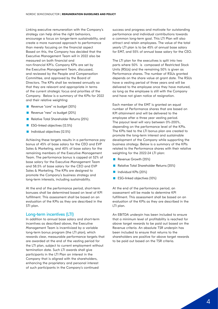Linking executive remuneration with the Company's strategy can help drive the right behaviors, encourage a focus on longer-term sustainability, and create a more nuanced approach to performance than merely focusing on the financial aspect Based on this, the Company has decided that the Executive Management Team will in 2022 also be measured on both financial and non-financial KPI's. Company KPIs are set by the Executive Management Team, discussed, and reviewed by the People and Compensation Committee, and approved by the Board of Directors. The KPIs shall be reviewed annually so that they are relevant and appropriate in terms of the current strategic focus and priorities of the Company. Below is a summary of the KPIs for 2022 and their relative weighting:

- Revenue "core" vs budget (30%)
- Revenue "new" vs budget (20%)
- Relative Total Shareholder Returns (25%)
- **ESG-linked objectives (12.5%)**
- **Individual objectives (12.5%)**

Achieving these targets results in a performance pay bonus of 45% of base salary for the CEO and EVP Sales & Marketing, and 40% of base salary for the remaining members of the Executive Management Team. The performance bonus is capped at 52% of base salary for the Executive Management Team and 58.5% of base salary for the CEO and EVP Sales & Marketing. The KPIs are designed to promote the Company's business strategy and long-term interests, including sustainability.

At the end of the performance period, short-term bonuses shall be determined based on level of KPI fulfillment. This assessment shall be based on an evaluation of the KPIs as they are described in the STI plan.

## Long-term incentives (LTI)

In addition to annual base salary and short-term incentives as described above, the Executive Management Team is incentivized by a variable long-term bonus program (the LTI plan), which rewards clear, measurable performance targets that are awarded at the end of the vesting period for the LTI plan, subject to current employment without termination date. Such LTI awards shall give participants in the LTI Plan an interest in the Company that is aligned with the shareholders, enhancing the proprietary and personal interest of such participants in the Company's continued

success and progress and motivate for outstanding performance and individual contributions towards a common long-term goal. This LTI Plan will also attract and retain employees. The value of the total yearly LTI plan is to be 45% of annual base salary for EMT, and 55% of annual base salary for the CEO.

The LTI plan for the executives is split into two parts where 50% is composed of Restricted Stock Units (RSUs) and the remaining 50% is given as Performance shares. The number of RSUs granted depends on the share value at grant date. The RSUs have a vesting period of three years and will be delivered to the employee once they have matured, as long as the employee is still with the Company and have not given notice of resignation.

Each member of the EMT is granted an equal number of Performance shares that are based on KPI attainment and will be delivered to the employee after a three year vesting period. The payout level will vary between 0%-200%, depending on the performance level of the KPIs. The KPIs tied to the LTI bonus plan are created to promote the long-term interest and sustainable development of the Company while supporting the business strategy. Below is a summary of the KPIs related to the Performance shares with their relative weighting for the 2022-24 LTI plan:

- Revenue Growth (35%)
- Relative Total Shareholder Returns (35%)
- **Individual KPIs (20%)**
- **ESG-linked objectives (10%)**

At the end of the performance period, an assessment will be made to determine KPI fulfillment. This assessment shall be based on an evaluation of the KPIs as they are described in the LTI plan.

An EBITDA underpin has been included to ensure that a minimum level of profitability is reached for above target rewards to be paid out based on the Revenue criteria. An absolute TSR underpin has been included to ensure that returns to the shareholders are positive for above target rewards to be paid out based on the TSR criteria.